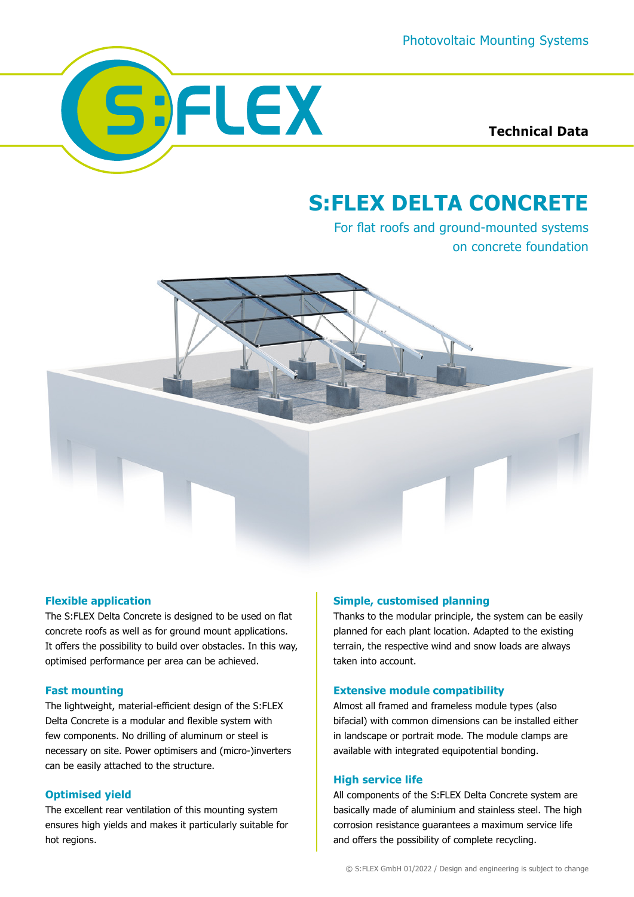

**Technical Data**

# **S:FLEX DELTA CONCRETE**

For flat roofs and ground-mounted systems on concrete foundation



## **Flexible application**

The S:FLEX Delta Concrete is designed to be used on flat concrete roofs as well as for ground mount applications. It offers the possibility to build over obstacles. In this way, optimised performance per area can be achieved.

## **Fast mounting**

The lightweight, material-efficient design of the S:FLEX Delta Concrete is a modular and flexible system with few components. No drilling of aluminum or steel is necessary on site. Power optimisers and (micro-)inverters can be easily attached to the structure.

## **Optimised yield**

The excellent rear ventilation of this mounting system ensures high yields and makes it particularly suitable for hot regions.

## **Simple, customised planning**

Thanks to the modular principle, the system can be easily planned for each plant location. Adapted to the existing terrain, the respective wind and snow loads are always taken into account.

#### **Extensive module compatibility**

Almost all framed and frameless module types (also bifacial) with common dimensions can be installed either in landscape or portrait mode. The module clamps are available with integrated equipotential bonding.

#### **High service life**

All components of the S:FLEX Delta Concrete system are basically made of aluminium and stainless steel. The high corrosion resistance guarantees a maximum service life and offers the possibility of complete recycling.